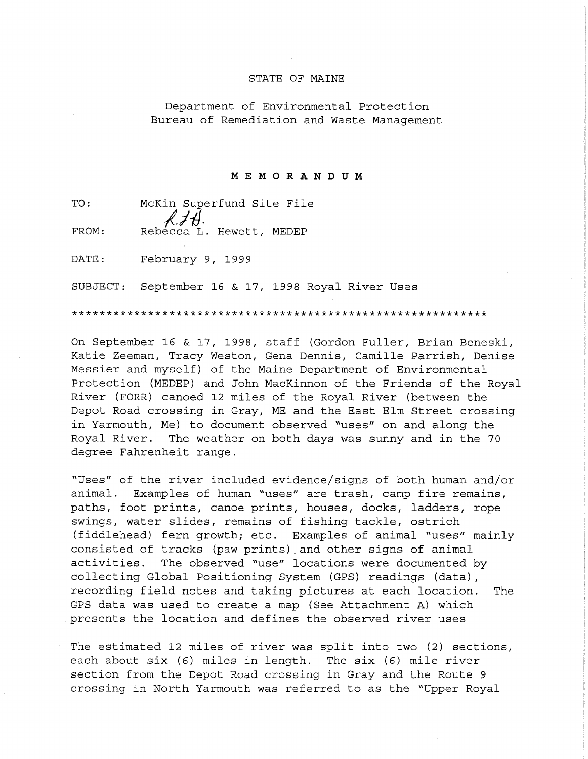## STATE OF MAINE

## Department of Environmental Protection Bureau of Remediation and Waste Management

## **MEMORANDUM**

TO: McKin Sugerfund Site File  $\chi$  $\sharp$  $\sharp$ .<br>Rebecca L. Hewett, MEDEP

FROM:

DATE: February 9, 1999

SUBJECT: September 16 & 17, 1998 Royal River Uses

## \*\*\*\*\*\*\*\*\*\*\*\*\*\*\*\*\*\*\*\*\*\*\*\*\*\*\*\*\*\*\*\*\*\*\*\*\*\*\*\*\*\*\*\*\*\*\*\*\*\*\*\*\*\*\*\*\*\*\*\*

On September 16 & 17, 1998, staff (Gordon Fuller, Brian Beneski, Katie Zeeman, Tracy Weston, Gena Dennis, Camille Parrish, Denise Messier and myself) of the Maine Department of Environmental Protection (MEDEP) and John MacKinnon of the Friends of the Royal River (FORR) canoed 12 miles of the Royal River (between the Depot Road crossing in Gray, ME and the East Elm Street crossing in Yarmouth, Me) to document observed "uses" on and along the Royal River. The weather on both days was sunny and in the 70 degree Fahrenheit range.

"Uses" of the river included evidence/signs of both human and/or animal. Examples of human "uses" are trash, camp fire remains, paths, foot prints, canoe prints, houses, docks, ladders, rope swings, water slides, remains of fishing tackle, ostrich (fiddlehead) fern growth; etc. Examples of animal "uses" mainly consisted of tracks (paw prints).and other signs of animal activities. The observed "use" locations were documented by collecting Global Positioning System (GPS) readings (data) , recording field notes and taking pictures at each location. The GPS data was used to create a map (See Attachment A) which presents the location and defines the observed river uses

The estimated 12 miles of river was split into two (2) sections, each about six (6) miles in length. The six (6) mile river section from the Depot Road crossing in Gray and the Route 9 crossing in North Yarmouth was referred to as the "Upper Royal